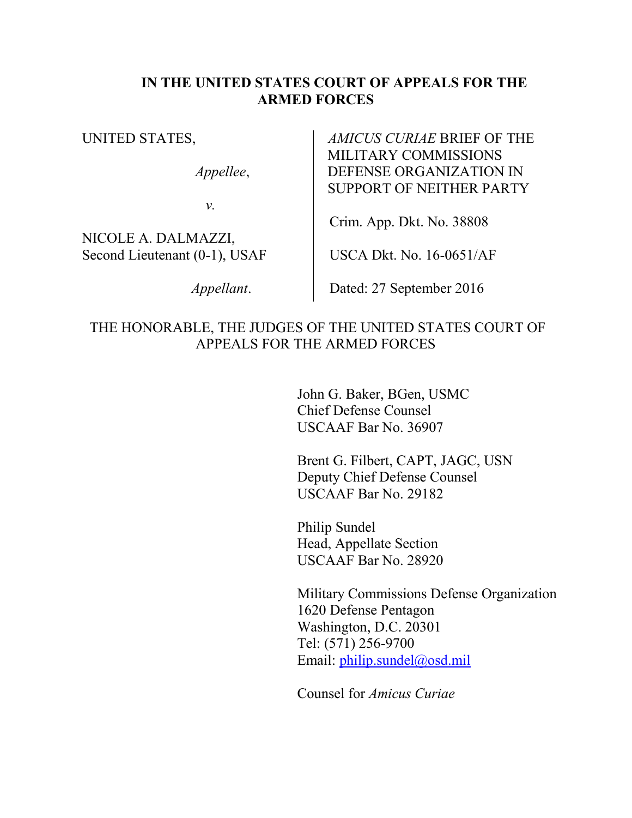#### **IN THE UNITED STATES COURT OF APPEALS FOR THE ARMED FORCES**

UNITED STATES,

*Appellee*,

*v.*

NICOLE A. DALMAZZI, Second Lieutenant (0-1), USAF

 *Appellant*.

*AMICUS CURIAE* BRIEF OF THE MILITARY COMMISSIONS DEFENSE ORGANIZATION IN SUPPORT OF NEITHER PARTY

Crim. App. Dkt. No. 38808

USCA Dkt. No. 16-0651/AF

Dated: 27 September 2016

#### THE HONORABLE, THE JUDGES OF THE UNITED STATES COURT OF APPEALS FOR THE ARMED FORCES

John G. Baker, BGen, USMC Chief Defense Counsel USCAAF Bar No. 36907

Brent G. Filbert, CAPT, JAGC, USN Deputy Chief Defense Counsel USCAAF Bar No. 29182

Philip Sundel Head, Appellate Section USCAAF Bar No. 28920

Military Commissions Defense Organization 1620 Defense Pentagon Washington, D.C. 20301 Tel: (571) 256-9700 Email: [philip.sundel@osd.mil](mailto:philip.sundel@osd.mil) 

Counsel for *Amicus Curiae*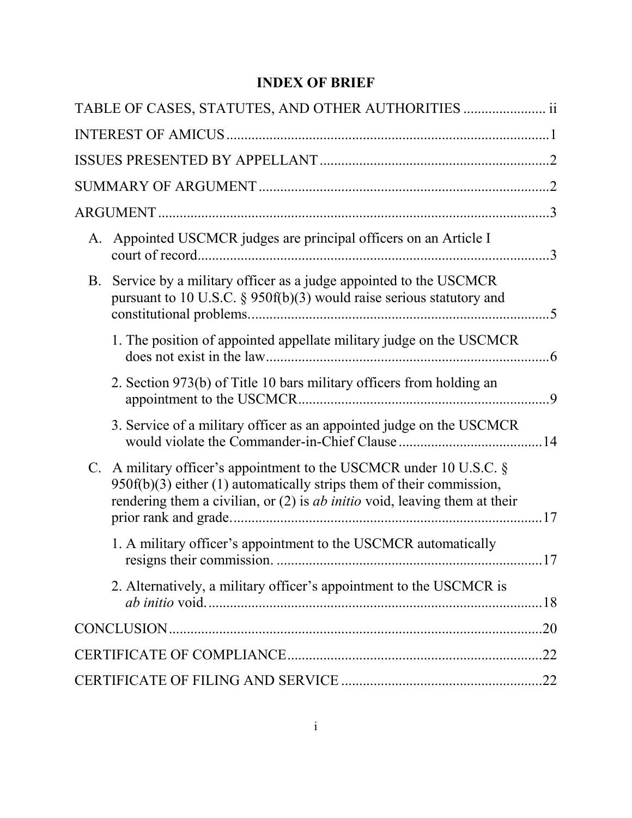### **INDEX OF BRIEF**

| TABLE OF CASES, STATUTES, AND OTHER AUTHORITIES  ii                                                                                                                                                                                     |     |
|-----------------------------------------------------------------------------------------------------------------------------------------------------------------------------------------------------------------------------------------|-----|
|                                                                                                                                                                                                                                         |     |
|                                                                                                                                                                                                                                         |     |
|                                                                                                                                                                                                                                         |     |
|                                                                                                                                                                                                                                         |     |
| A. Appointed USCMCR judges are principal officers on an Article I                                                                                                                                                                       |     |
| B. Service by a military officer as a judge appointed to the USCMCR<br>pursuant to 10 U.S.C. § 950f(b)(3) would raise serious statutory and                                                                                             |     |
| 1. The position of appointed appellate military judge on the USCMCR                                                                                                                                                                     |     |
| 2. Section 973(b) of Title 10 bars military officers from holding an                                                                                                                                                                    |     |
| 3. Service of a military officer as an appointed judge on the USCMCR                                                                                                                                                                    |     |
| C. A military officer's appointment to the USCMCR under 10 U.S.C. $\S$<br>$950f(b)(3)$ either (1) automatically strips them of their commission,<br>rendering them a civilian, or $(2)$ is <i>ab initio</i> void, leaving them at their |     |
| 1. A military officer's appointment to the USCMCR automatically                                                                                                                                                                         |     |
| 2. Alternatively, a military officer's appointment to the USCMCR is                                                                                                                                                                     |     |
|                                                                                                                                                                                                                                         | .20 |
|                                                                                                                                                                                                                                         |     |
|                                                                                                                                                                                                                                         |     |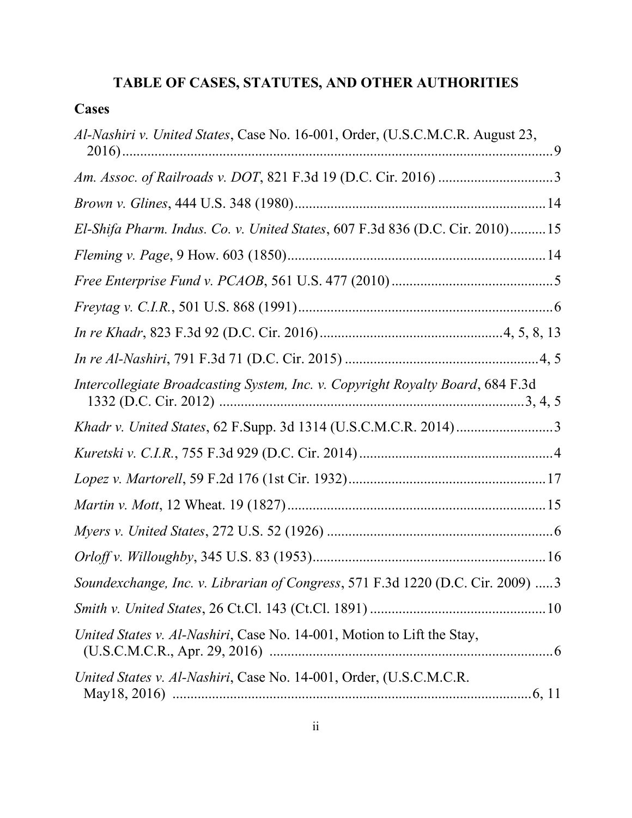# **TABLE OF CASES, STATUTES, AND OTHER AUTHORITIES**

| ases<br>◥ |
|-----------|
|-----------|

| Al-Nashiri v. United States, Case No. 16-001, Order, (U.S.C.M.C.R. August 23,  |
|--------------------------------------------------------------------------------|
|                                                                                |
|                                                                                |
| El-Shifa Pharm. Indus. Co. v. United States, 607 F.3d 836 (D.C. Cir. 2010)15   |
|                                                                                |
|                                                                                |
|                                                                                |
|                                                                                |
|                                                                                |
| Intercollegiate Broadcasting System, Inc. v. Copyright Royalty Board, 684 F.3d |
|                                                                                |
|                                                                                |
|                                                                                |
|                                                                                |
|                                                                                |
|                                                                                |
| Soundexchange, Inc. v. Librarian of Congress, 571 F.3d 1220 (D.C. Cir. 2009) 3 |
|                                                                                |
| United States v. Al-Nashiri, Case No. 14-001, Motion to Lift the Stay,         |
| United States v. Al-Nashiri, Case No. 14-001, Order, (U.S.C.M.C.R.             |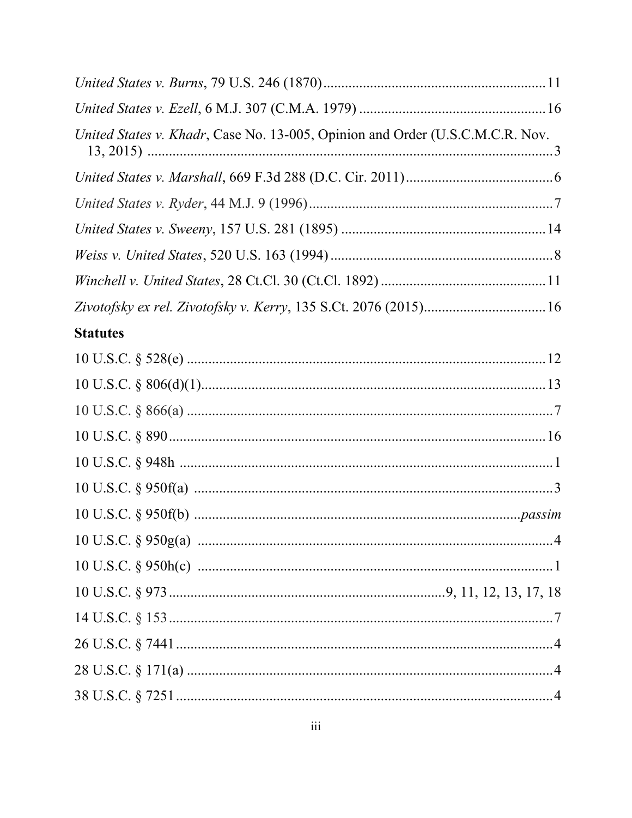| United States v. Khadr, Case No. 13-005, Opinion and Order (U.S.C.M.C.R. Nov. |  |
|-------------------------------------------------------------------------------|--|
|                                                                               |  |
|                                                                               |  |
|                                                                               |  |
|                                                                               |  |
|                                                                               |  |
|                                                                               |  |
| <b>Statutes</b>                                                               |  |
|                                                                               |  |
|                                                                               |  |
|                                                                               |  |
|                                                                               |  |
|                                                                               |  |
|                                                                               |  |
|                                                                               |  |
|                                                                               |  |
|                                                                               |  |
|                                                                               |  |
|                                                                               |  |
|                                                                               |  |
|                                                                               |  |
|                                                                               |  |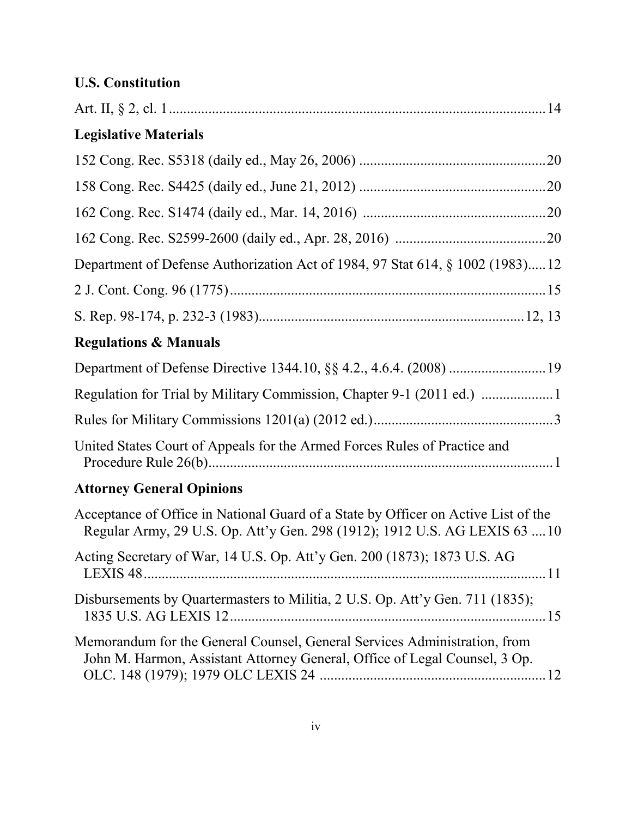## **U.S. Constitution**

| <b>Legislative Materials</b>                                                                                                                                     |
|------------------------------------------------------------------------------------------------------------------------------------------------------------------|
|                                                                                                                                                                  |
|                                                                                                                                                                  |
|                                                                                                                                                                  |
|                                                                                                                                                                  |
| Department of Defense Authorization Act of 1984, 97 Stat 614, § 1002 (1983)12                                                                                    |
|                                                                                                                                                                  |
|                                                                                                                                                                  |
| <b>Regulations &amp; Manuals</b>                                                                                                                                 |
|                                                                                                                                                                  |
| Regulation for Trial by Military Commission, Chapter 9-1 (2011 ed.)                                                                                              |
|                                                                                                                                                                  |
| United States Court of Appeals for the Armed Forces Rules of Practice and                                                                                        |
| <b>Attorney General Opinions</b>                                                                                                                                 |
| Acceptance of Office in National Guard of a State by Officer on Active List of the<br>Regular Army, 29 U.S. Op. Att'y Gen. 298 (1912); 1912 U.S. AG LEXIS 63  10 |
| Acting Secretary of War, 14 U.S. Op. Att'y Gen. 200 (1873); 1873 U.S. AG                                                                                         |
| Disbursements by Quartermasters to Militia, 2 U.S. Op. Att'y Gen. 711 (1835);                                                                                    |
| Memorandum for the General Counsel, General Services Administration, from<br>John M. Harmon, Assistant Attorney General, Office of Legal Counsel, 3 Op.          |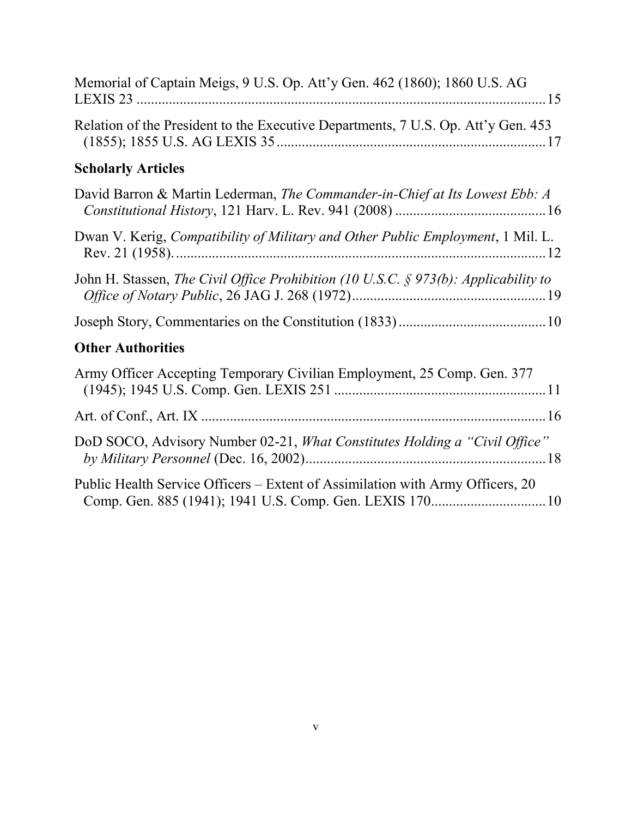| Memorial of Captain Meigs, 9 U.S. Op. Att'y Gen. 462 (1860); 1860 U.S. AG              |
|----------------------------------------------------------------------------------------|
| Relation of the President to the Executive Departments, 7 U.S. Op. Att'y Gen. 453      |
| <b>Scholarly Articles</b>                                                              |
| David Barron & Martin Lederman, The Commander-in-Chief at Its Lowest Ebb: A            |
| Dwan V. Kerig, Compatibility of Military and Other Public Employment, 1 Mil. L.        |
| John H. Stassen, The Civil Office Prohibition (10 U.S.C. $\S$ 973(b): Applicability to |
|                                                                                        |
| <b>Other Authorities</b>                                                               |
| Army Officer Accepting Temporary Civilian Employment, 25 Comp. Gen. 377                |
|                                                                                        |
| DoD SOCO, Advisory Number 02-21, <i>What Constitutes Holding a "Civil Office"</i>      |
| Public Health Service Officers – Extent of Assimilation with Army Officers, 20         |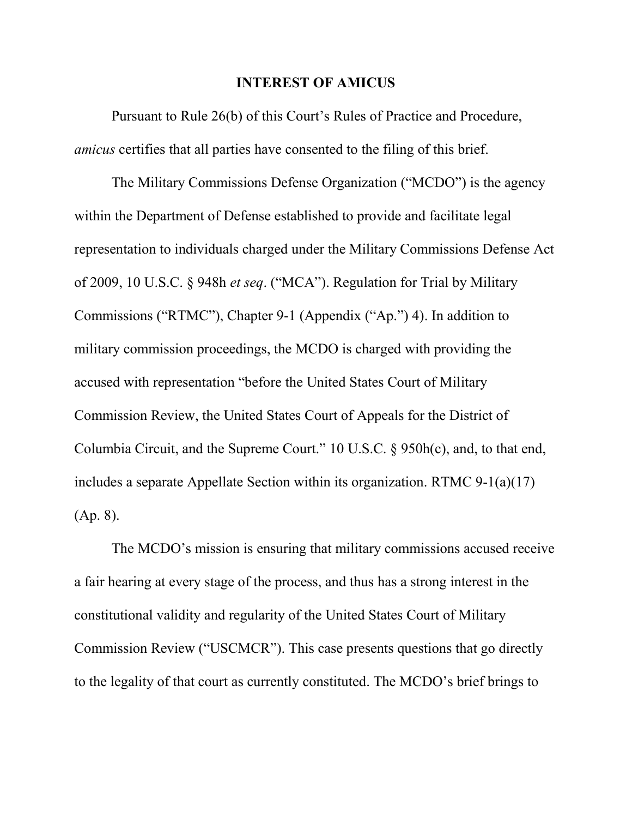#### **INTEREST OF AMICUS**

 Pursuant to Rule 26(b) of this Court's Rules of Practice and Procedure, *amicus* certifies that all parties have consented to the filing of this brief.

 The Military Commissions Defense Organization ("MCDO") is the agency within the Department of Defense established to provide and facilitate legal representation to individuals charged under the Military Commissions Defense Act of 2009, 10 U.S.C. § 948h *et seq*. ("MCA"). Regulation for Trial by Military Commissions ("RTMC"), Chapter 9-1 (Appendix ("Ap.") 4). In addition to military commission proceedings, the MCDO is charged with providing the accused with representation "before the United States Court of Military Commission Review, the United States Court of Appeals for the District of Columbia Circuit, and the Supreme Court." 10 U.S.C. § 950h(c), and, to that end, includes a separate Appellate Section within its organization. RTMC 9-1(a)(17) (Ap. 8).

The MCDO's mission is ensuring that military commissions accused receive a fair hearing at every stage of the process, and thus has a strong interest in the constitutional validity and regularity of the United States Court of Military Commission Review ("USCMCR"). This case presents questions that go directly to the legality of that court as currently constituted. The MCDO's brief brings to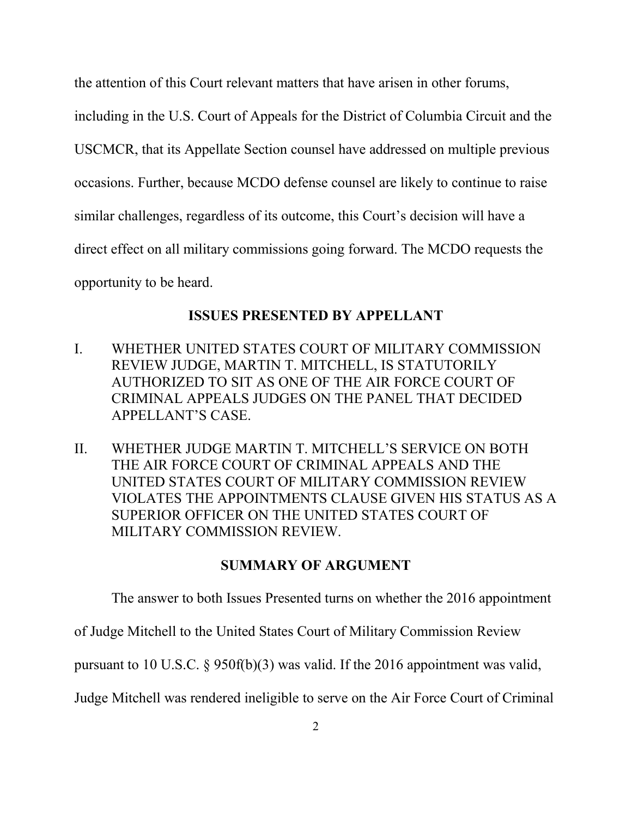the attention of this Court relevant matters that have arisen in other forums,

including in the U.S. Court of Appeals for the District of Columbia Circuit and the USCMCR, that its Appellate Section counsel have addressed on multiple previous occasions. Further, because MCDO defense counsel are likely to continue to raise similar challenges, regardless of its outcome, this Court's decision will have a direct effect on all military commissions going forward. The MCDO requests the opportunity to be heard.

#### **ISSUES PRESENTED BY APPELLANT**

- I. WHETHER UNITED STATES COURT OF MILITARY COMMISSION REVIEW JUDGE, MARTIN T. MITCHELL, IS STATUTORILY AUTHORIZED TO SIT AS ONE OF THE AIR FORCE COURT OF CRIMINAL APPEALS JUDGES ON THE PANEL THAT DECIDED APPELLANT'S CASE.
- II. WHETHER JUDGE MARTIN T. MITCHELL'S SERVICE ON BOTH THE AIR FORCE COURT OF CRIMINAL APPEALS AND THE UNITED STATES COURT OF MILITARY COMMISSION REVIEW VIOLATES THE APPOINTMENTS CLAUSE GIVEN HIS STATUS AS A SUPERIOR OFFICER ON THE UNITED STATES COURT OF MILITARY COMMISSION REVIEW.

#### **SUMMARY OF ARGUMENT**

The answer to both Issues Presented turns on whether the 2016 appointment

of Judge Mitchell to the United States Court of Military Commission Review

pursuant to 10 U.S.C. § 950f(b)(3) was valid. If the 2016 appointment was valid,

Judge Mitchell was rendered ineligible to serve on the Air Force Court of Criminal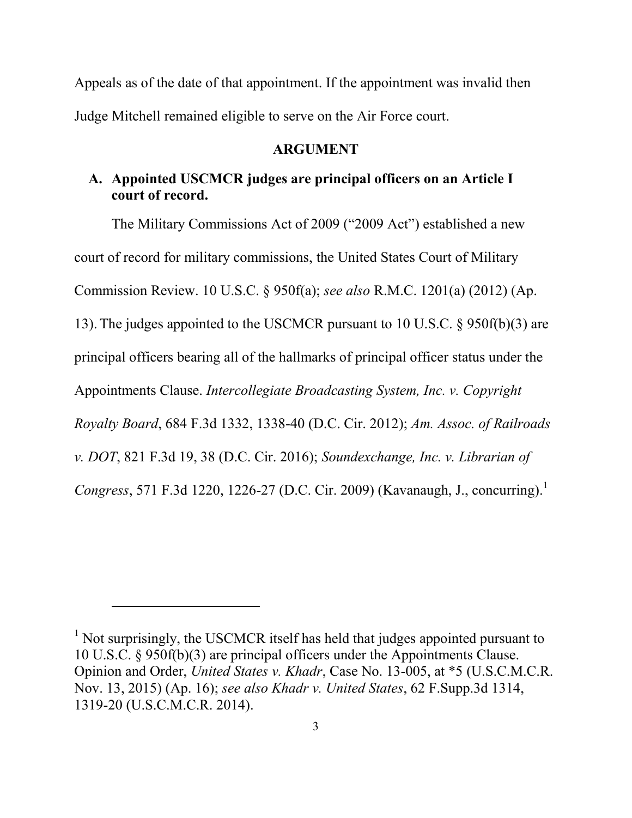Appeals as of the date of that appointment. If the appointment was invalid then Judge Mitchell remained eligible to serve on the Air Force court.

#### **ARGUMENT**

#### **A. Appointed USCMCR judges are principal officers on an Article I court of record.**

The Military Commissions Act of 2009 ("2009 Act") established a new court of record for military commissions, the United States Court of Military Commission Review. 10 U.S.C. § 950f(a); *see also* R.M.C. 1201(a) (2012) (Ap. 13).The judges appointed to the USCMCR pursuant to 10 U.S.C. § 950f(b)(3) are principal officers bearing all of the hallmarks of principal officer status under the Appointments Clause. *Intercollegiate Broadcasting System, Inc. v. Copyright Royalty Board*, 684 F.3d 1332, 1338-40 (D.C. Cir. 2012); *Am. Assoc. of Railroads v. DOT*, 821 F.3d 19, 38 (D.C. Cir. 2016); *Soundexchange, Inc. v. Librarian of Congress*, 571 F.3d 1220, 1226-27 (D.C. Cir. 2009) (Kavanaugh, J., concurring).<sup>1</sup>

<sup>&</sup>lt;sup>1</sup> Not surprisingly, the USCMCR itself has held that judges appointed pursuant to 10 U.S.C. § 950f(b)(3) are principal officers under the Appointments Clause. Opinion and Order, *United States v. Khadr*, Case No. 13-005, at \*5 (U.S.C.M.C.R. Nov. 13, 2015) (Ap. 16); *see also Khadr v. United States*, 62 F.Supp.3d 1314, 1319-20 (U.S.C.M.C.R. 2014).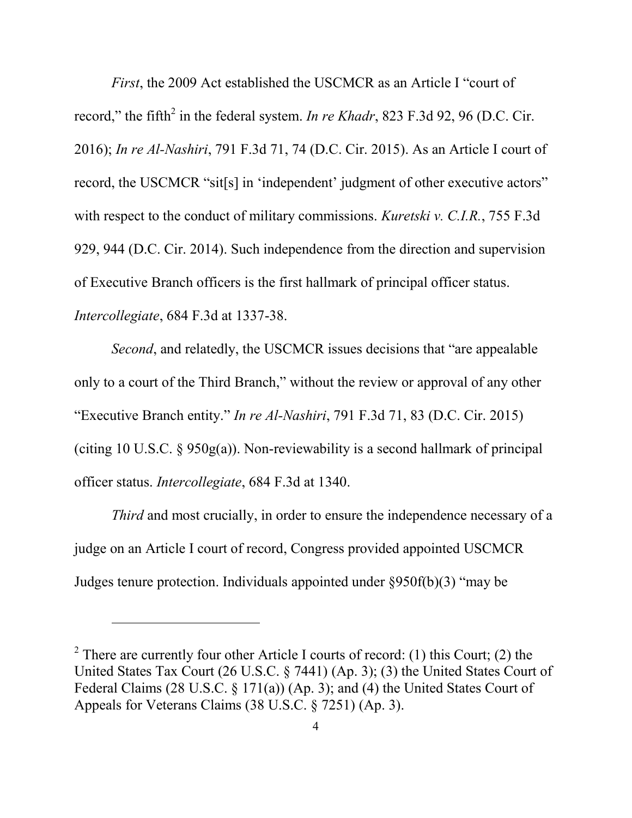*First*, the 2009 Act established the USCMCR as an Article I "court of record," the fifth<sup>2</sup> in the federal system. *In re Khadr*, 823 F.3d 92, 96 (D.C. Cir. 2016); *In re Al-Nashiri*, 791 F.3d 71, 74 (D.C. Cir. 2015). As an Article I court of record, the USCMCR "sit[s] in 'independent' judgment of other executive actors" with respect to the conduct of military commissions. *Kuretski v. C.I.R.*, 755 F.3d 929, 944 (D.C. Cir. 2014). Such independence from the direction and supervision of Executive Branch officers is the first hallmark of principal officer status. *Intercollegiate*, 684 F.3d at 1337-38.

*Second*, and relatedly, the USCMCR issues decisions that "are appealable" only to a court of the Third Branch," without the review or approval of any other "Executive Branch entity." *In re Al-Nashiri*, 791 F.3d 71, 83 (D.C. Cir. 2015) (citing 10 U.S.C.  $\S$  950g(a)). Non-reviewability is a second hallmark of principal officer status. *Intercollegiate*, 684 F.3d at 1340.

*Third* and most crucially, in order to ensure the independence necessary of a judge on an Article I court of record, Congress provided appointed USCMCR Judges tenure protection. Individuals appointed under §950f(b)(3) "may be

<sup>&</sup>lt;sup>2</sup> There are currently four other Article I courts of record: (1) this Court; (2) the United States Tax Court (26 U.S.C. § 7441) (Ap. 3); (3) the United States Court of Federal Claims (28 U.S.C. § 171(a)) (Ap. 3); and (4) the United States Court of Appeals for Veterans Claims (38 U.S.C. § 7251) (Ap. 3).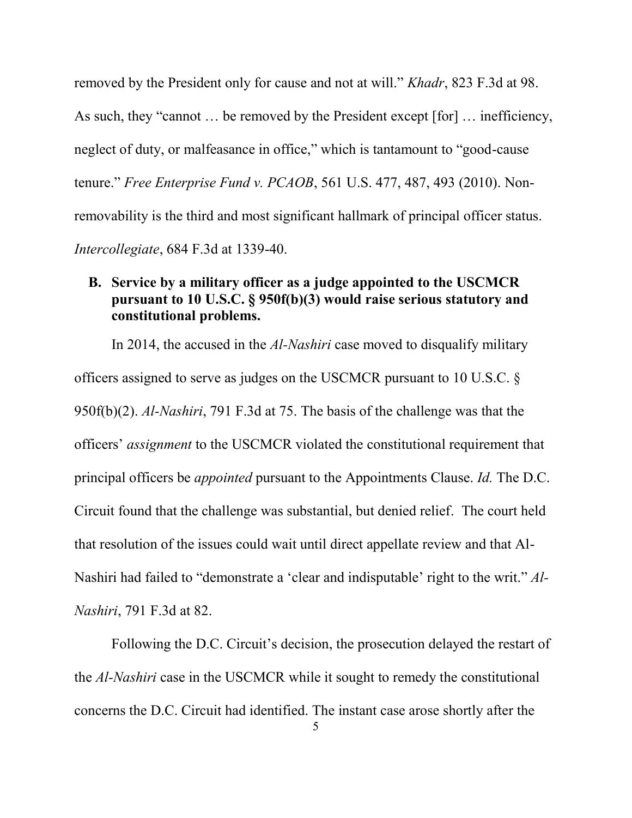removed by the President only for cause and not at will." *Khadr*, 823 F.3d at 98. As such, they "cannot … be removed by the President except [for] … inefficiency, neglect of duty, or malfeasance in office," which is tantamount to "good-cause tenure." *Free Enterprise Fund v. PCAOB*, 561 U.S. 477, 487, 493 (2010). Nonremovability is the third and most significant hallmark of principal officer status. *Intercollegiate*, 684 F.3d at 1339-40.

### **B. Service by a military officer as a judge appointed to the USCMCR pursuant to 10 U.S.C. § 950f(b)(3) would raise serious statutory and constitutional problems.**

 In 2014, the accused in the *Al-Nashiri* case moved to disqualify military officers assigned to serve as judges on the USCMCR pursuant to 10 U.S.C. § 950f(b)(2). *Al-Nashiri*, 791 F.3d at 75. The basis of the challenge was that the officers' *assignment* to the USCMCR violated the constitutional requirement that principal officers be *appointed* pursuant to the Appointments Clause. *Id.* The D.C. Circuit found that the challenge was substantial, but denied relief. The court held that resolution of the issues could wait until direct appellate review and that Al-Nashiri had failed to "demonstrate a 'clear and indisputable' right to the writ." *Al-Nashiri*, 791 F.3d at 82.

 Following the D.C. Circuit's decision, the prosecution delayed the restart of the *Al-Nashiri* case in the USCMCR while it sought to remedy the constitutional concerns the D.C. Circuit had identified. The instant case arose shortly after the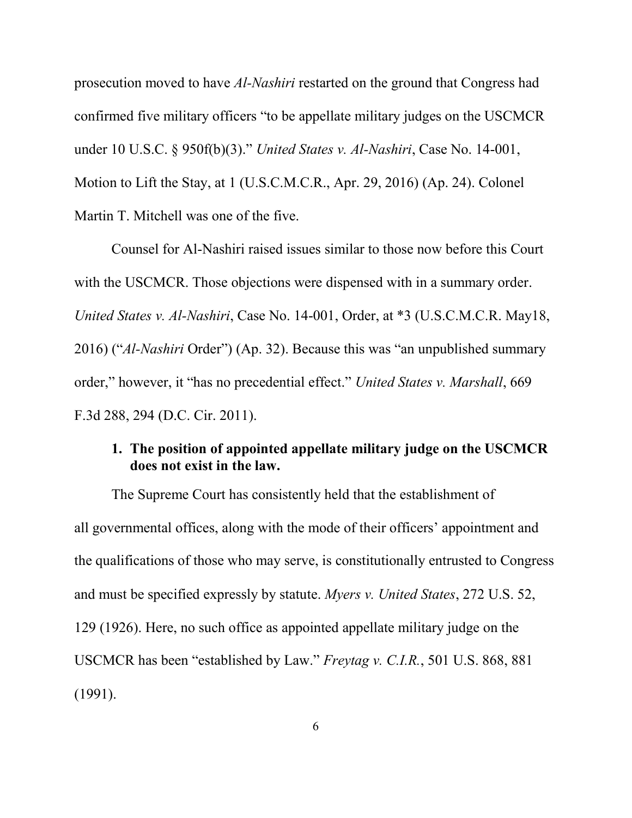prosecution moved to have *Al-Nashiri* restarted on the ground that Congress had confirmed five military officers "to be appellate military judges on the USCMCR under 10 U.S.C. § 950f(b)(3)." *United States v. Al-Nashiri*, Case No. 14-001, Motion to Lift the Stay, at 1 (U.S.C.M.C.R., Apr. 29, 2016) (Ap. 24). Colonel Martin T. Mitchell was one of the five.

Counsel for Al-Nashiri raised issues similar to those now before this Court with the USCMCR. Those objections were dispensed with in a summary order. *United States v. Al-Nashiri*, Case No. 14-001, Order, at \*3 (U.S.C.M.C.R. May18, 2016) ("*Al-Nashiri* Order") (Ap. 32). Because this was "an unpublished summary order," however, it "has no precedential effect." *United States v. Marshall*, 669 F.3d 288, 294 (D.C. Cir. 2011).

#### **1. The position of appointed appellate military judge on the USCMCR does not exist in the law.**

The Supreme Court has consistently held that the establishment of all governmental offices, along with the mode of their officers' appointment and the qualifications of those who may serve, is constitutionally entrusted to Congress and must be specified expressly by statute. *Myers v. United States*, 272 U.S. 52, 129 (1926). Here, no such office as appointed appellate military judge on the USCMCR has been "established by Law." *Freytag v. C.I.R.*, 501 U.S. 868, 881 (1991).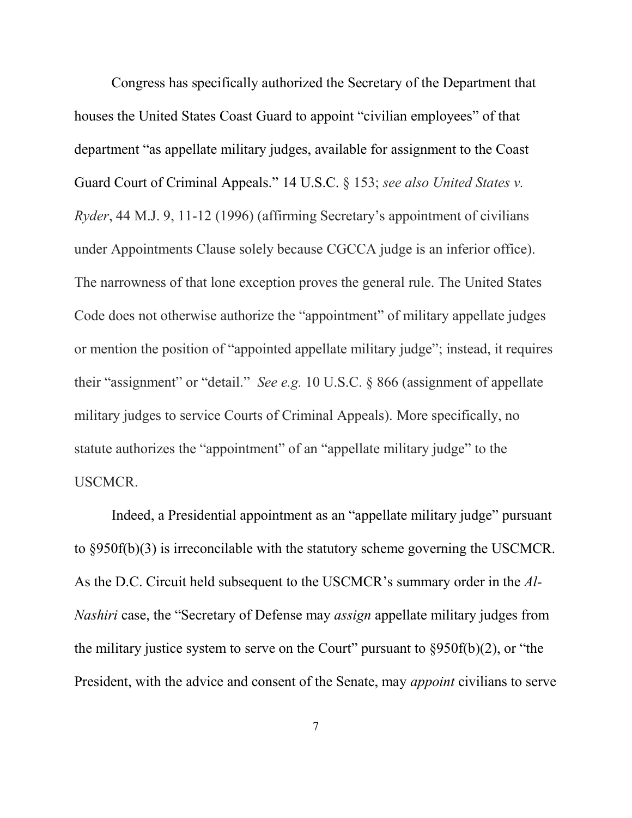Congress has specifically authorized the Secretary of the Department that houses the United States Coast Guard to appoint "civilian employees" of that department "as appellate military judges, available for assignment to the Coast Guard Court of Criminal Appeals." 14 U.S.C. § 153; *see also United States v. Ryder*, 44 M.J. 9, 11-12 (1996) (affirming Secretary's appointment of civilians under Appointments Clause solely because CGCCA judge is an inferior office). The narrowness of that lone exception proves the general rule. The United States Code does not otherwise authorize the "appointment" of military appellate judges or mention the position of "appointed appellate military judge"; instead, it requires their "assignment" or "detail." *See e.g.* 10 U.S.C. § 866 (assignment of appellate military judges to service Courts of Criminal Appeals). More specifically, no statute authorizes the "appointment" of an "appellate military judge" to the USCMCR.

Indeed, a Presidential appointment as an "appellate military judge" pursuant to §950f(b)(3) is irreconcilable with the statutory scheme governing the USCMCR. As the D.C. Circuit held subsequent to the USCMCR's summary order in the *Al-Nashiri* case, the "Secretary of Defense may *assign* appellate military judges from the military justice system to serve on the Court" pursuant to  $\frac{8950f(b)}{2}$ , or "the President, with the advice and consent of the Senate, may *appoint* civilians to serve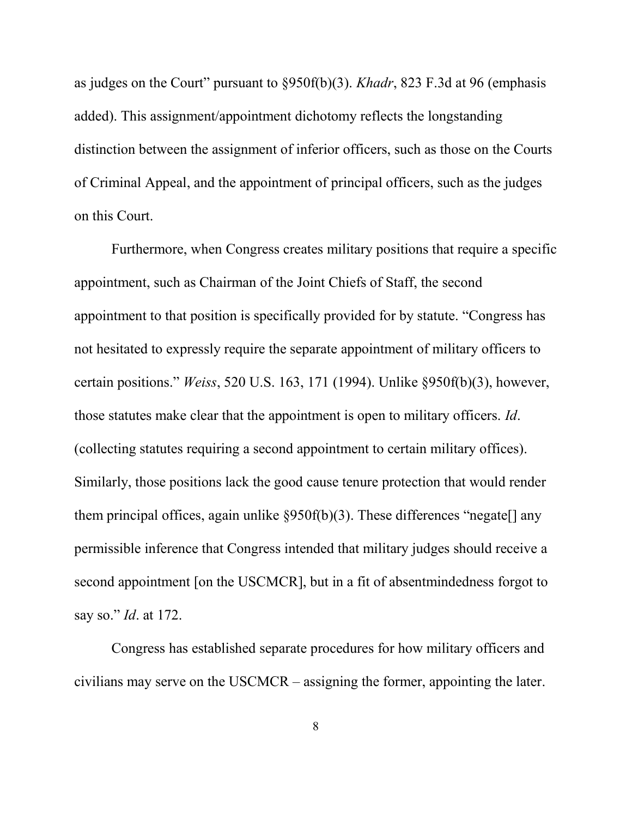as judges on the Court" pursuant to §950f(b)(3). *Khadr*, 823 F.3d at 96 (emphasis added). This assignment/appointment dichotomy reflects the longstanding distinction between the assignment of inferior officers, such as those on the Courts of Criminal Appeal, and the appointment of principal officers, such as the judges on this Court.

Furthermore, when Congress creates military positions that require a specific appointment, such as Chairman of the Joint Chiefs of Staff, the second appointment to that position is specifically provided for by statute. "Congress has not hesitated to expressly require the separate appointment of military officers to certain positions." *Weiss*, 520 U.S. 163, 171 (1994). Unlike §950f(b)(3), however, those statutes make clear that the appointment is open to military officers. *Id*. (collecting statutes requiring a second appointment to certain military offices). Similarly, those positions lack the good cause tenure protection that would render them principal offices, again unlike  $\S 950f(b)(3)$ . These differences "negate any permissible inference that Congress intended that military judges should receive a second appointment [on the USCMCR], but in a fit of absentmindedness forgot to say so." *Id*. at 172.

Congress has established separate procedures for how military officers and civilians may serve on the USCMCR – assigning the former, appointing the later.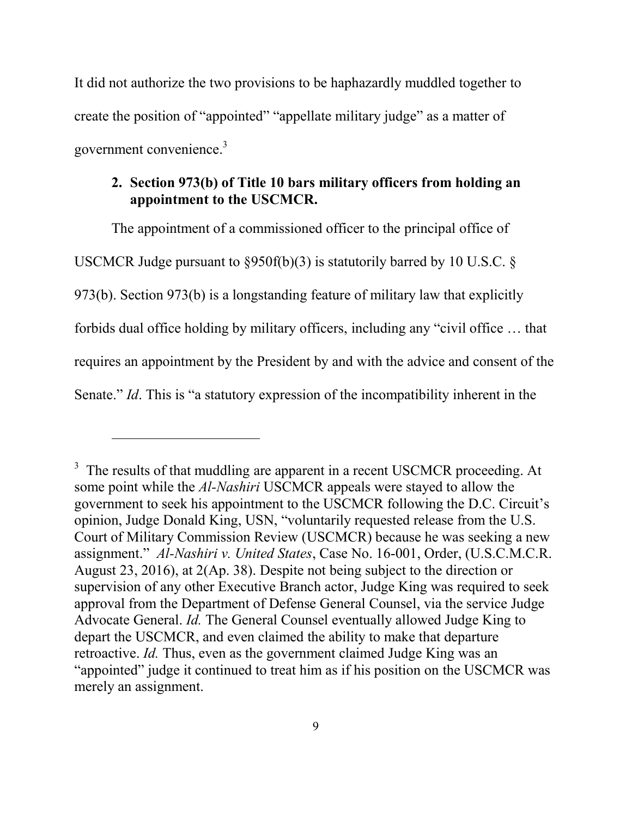It did not authorize the two provisions to be haphazardly muddled together to create the position of "appointed" "appellate military judge" as a matter of government convenience.<sup>3</sup>

### **2. Section 973(b) of Title 10 bars military officers from holding an appointment to the USCMCR.**

The appointment of a commissioned officer to the principal office of USCMCR Judge pursuant to  $\S 950f(b)(3)$  is statutorily barred by 10 U.S.C. § 973(b). Section 973(b) is a longstanding feature of military law that explicitly forbids dual office holding by military officers, including any "civil office … that requires an appointment by the President by and with the advice and consent of the Senate." *Id*. This is "a statutory expression of the incompatibility inherent in the

 $3$  The results of that muddling are apparent in a recent USCMCR proceeding. At some point while the *Al-Nashiri* USCMCR appeals were stayed to allow the government to seek his appointment to the USCMCR following the D.C. Circuit's opinion, Judge Donald King, USN, "voluntarily requested release from the U.S. Court of Military Commission Review (USCMCR) because he was seeking a new assignment." *Al-Nashiri v. United States*, Case No. 16-001, Order, (U.S.C.M.C.R. August 23, 2016), at 2(Ap. 38). Despite not being subject to the direction or supervision of any other Executive Branch actor, Judge King was required to seek approval from the Department of Defense General Counsel, via the service Judge Advocate General. *Id.* The General Counsel eventually allowed Judge King to depart the USCMCR, and even claimed the ability to make that departure retroactive. *Id.* Thus, even as the government claimed Judge King was an "appointed" judge it continued to treat him as if his position on the USCMCR was merely an assignment.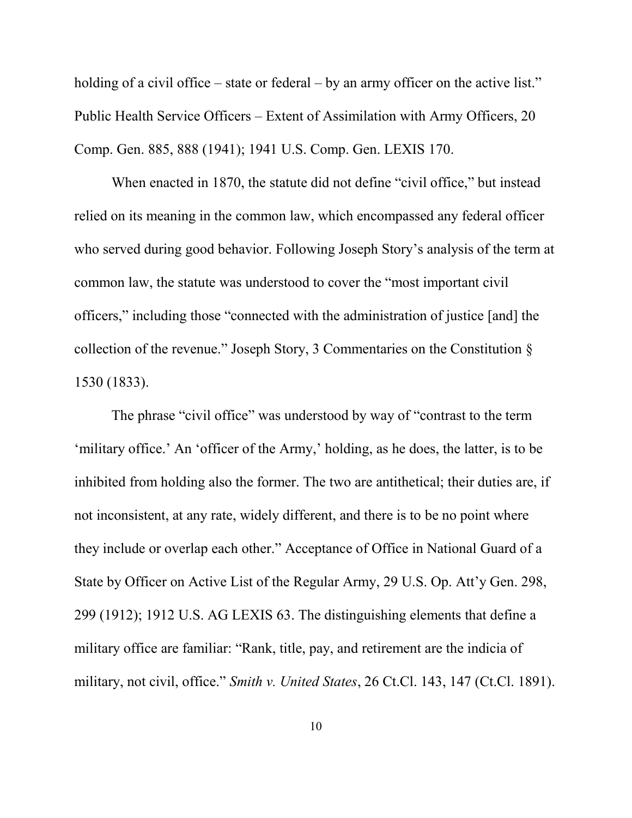holding of a civil office – state or federal – by an army officer on the active list." Public Health Service Officers – Extent of Assimilation with Army Officers, 20 Comp. Gen. 885, 888 (1941); 1941 U.S. Comp. Gen. LEXIS 170.

When enacted in 1870, the statute did not define "civil office," but instead relied on its meaning in the common law, which encompassed any federal officer who served during good behavior. Following Joseph Story's analysis of the term at common law, the statute was understood to cover the "most important civil officers," including those "connected with the administration of justice [and] the collection of the revenue." Joseph Story, 3 Commentaries on the Constitution § 1530 (1833).

The phrase "civil office" was understood by way of "contrast to the term 'military office.' An 'officer of the Army,' holding, as he does, the latter, is to be inhibited from holding also the former. The two are antithetical; their duties are, if not inconsistent, at any rate, widely different, and there is to be no point where they include or overlap each other." Acceptance of Office in National Guard of a State by Officer on Active List of the Regular Army, 29 U.S. Op. Att'y Gen. 298, 299 (1912); 1912 U.S. AG LEXIS 63. The distinguishing elements that define a military office are familiar: "Rank, title, pay, and retirement are the indicia of military, not civil, office." *Smith v. United States*, 26 Ct.Cl. 143, 147 (Ct.Cl. 1891).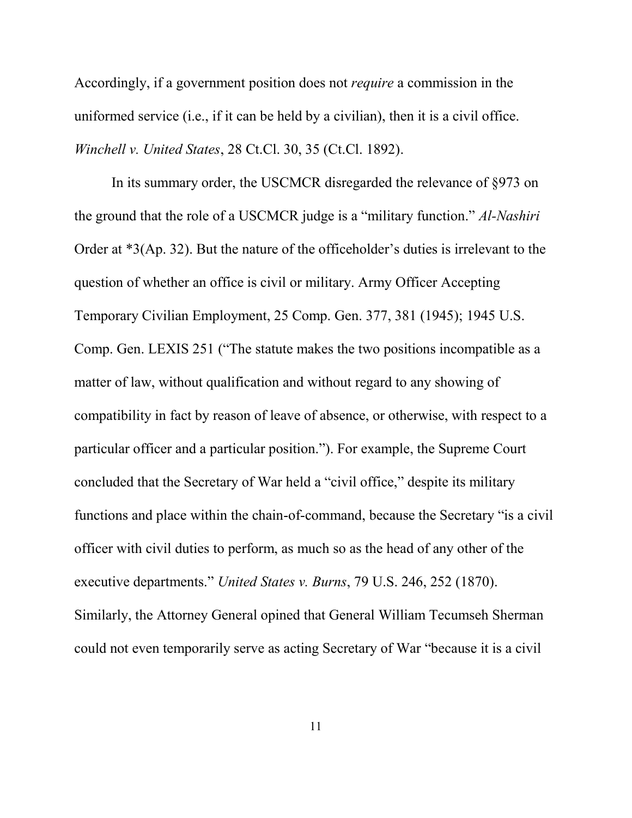Accordingly, if a government position does not *require* a commission in the uniformed service (i.e., if it can be held by a civilian), then it is a civil office. *Winchell v. United States*, 28 Ct.Cl. 30, 35 (Ct.Cl. 1892).

In its summary order, the USCMCR disregarded the relevance of §973 on the ground that the role of a USCMCR judge is a "military function." *Al-Nashiri* Order at \*3(Ap. 32). But the nature of the officeholder's duties is irrelevant to the question of whether an office is civil or military. Army Officer Accepting Temporary Civilian Employment, 25 Comp. Gen. 377, 381 (1945); 1945 U.S. Comp. Gen. LEXIS 251 ("The statute makes the two positions incompatible as a matter of law, without qualification and without regard to any showing of compatibility in fact by reason of leave of absence, or otherwise, with respect to a particular officer and a particular position."). For example, the Supreme Court concluded that the Secretary of War held a "civil office," despite its military functions and place within the chain-of-command, because the Secretary "is a civil officer with civil duties to perform, as much so as the head of any other of the executive departments." *United States v. Burns*, 79 U.S. 246, 252 (1870). Similarly, the Attorney General opined that General William Tecumseh Sherman could not even temporarily serve as acting Secretary of War "because it is a civil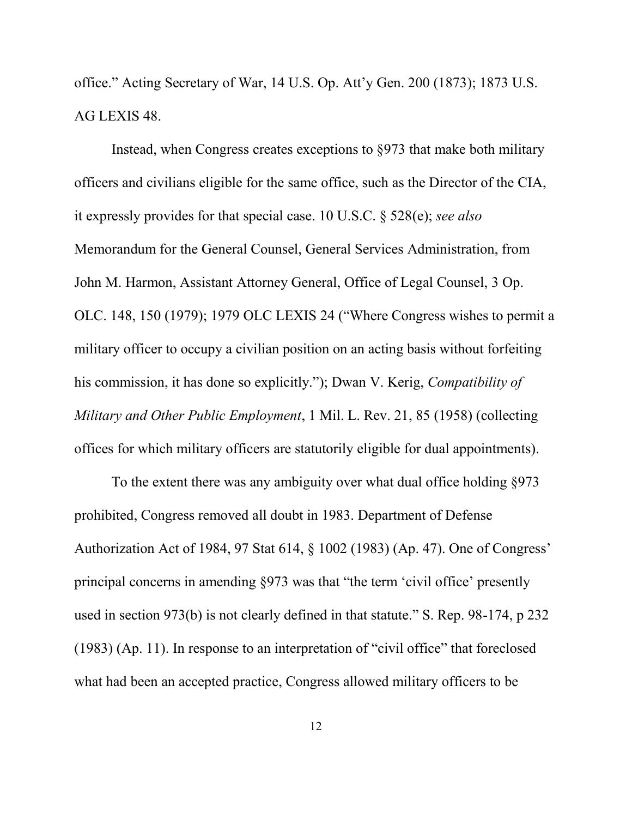office." Acting Secretary of War, 14 U.S. Op. Att'y Gen. 200 (1873); 1873 U.S. AG LEXIS 48.

 Instead, when Congress creates exceptions to §973 that make both military officers and civilians eligible for the same office, such as the Director of the CIA, it expressly provides for that special case. 10 U.S.C. § 528(e); *see also* Memorandum for the General Counsel, General Services Administration, from John M. Harmon, Assistant Attorney General, Office of Legal Counsel, 3 Op. OLC. 148, 150 (1979); 1979 OLC LEXIS 24 ("Where Congress wishes to permit a military officer to occupy a civilian position on an acting basis without forfeiting his commission, it has done so explicitly."); Dwan V. Kerig, *Compatibility of Military and Other Public Employment*, 1 Mil. L. Rev. 21, 85 (1958) (collecting offices for which military officers are statutorily eligible for dual appointments).

To the extent there was any ambiguity over what dual office holding §973 prohibited, Congress removed all doubt in 1983. Department of Defense Authorization Act of 1984, 97 Stat 614, § 1002 (1983) (Ap. 47). One of Congress' principal concerns in amending §973 was that "the term 'civil office' presently used in section 973(b) is not clearly defined in that statute." S. Rep. 98-174, p 232 (1983) (Ap. 11). In response to an interpretation of "civil office" that foreclosed what had been an accepted practice, Congress allowed military officers to be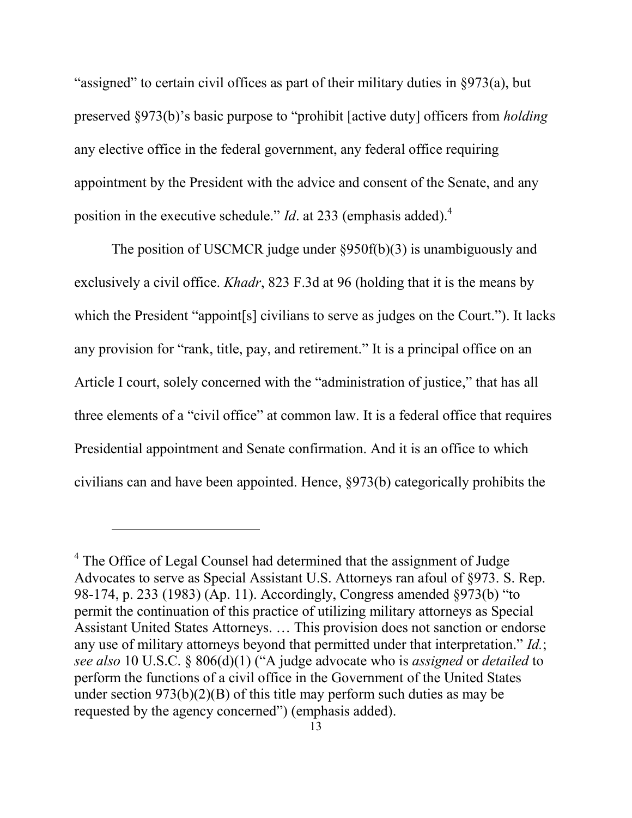"assigned" to certain civil offices as part of their military duties in §973(a), but preserved §973(b)'s basic purpose to "prohibit [active duty] officers from *holding* any elective office in the federal government, any federal office requiring appointment by the President with the advice and consent of the Senate, and any position in the executive schedule." *Id*. at 233 (emphasis added).<sup>4</sup>

The position of USCMCR judge under §950f(b)(3) is unambiguously and exclusively a civil office. *Khadr*, 823 F.3d at 96 (holding that it is the means by which the President "appoint[s] civilians to serve as judges on the Court."). It lacks any provision for "rank, title, pay, and retirement." It is a principal office on an Article I court, solely concerned with the "administration of justice," that has all three elements of a "civil office" at common law. It is a federal office that requires Presidential appointment and Senate confirmation. And it is an office to which civilians can and have been appointed. Hence, §973(b) categorically prohibits the

<sup>&</sup>lt;sup>4</sup> The Office of Legal Counsel had determined that the assignment of Judge Advocates to serve as Special Assistant U.S. Attorneys ran afoul of §973. S. Rep. 98-174, p. 233 (1983) (Ap. 11). Accordingly, Congress amended §973(b) "to permit the continuation of this practice of utilizing military attorneys as Special Assistant United States Attorneys. … This provision does not sanction or endorse any use of military attorneys beyond that permitted under that interpretation." *Id.*; *see also* 10 U.S.C. § 806(d)(1) ("A judge advocate who is *assigned* or *detailed* to perform the functions of a civil office in the Government of the United States under section  $973(b)(2)(B)$  of this title may perform such duties as may be requested by the agency concerned") (emphasis added).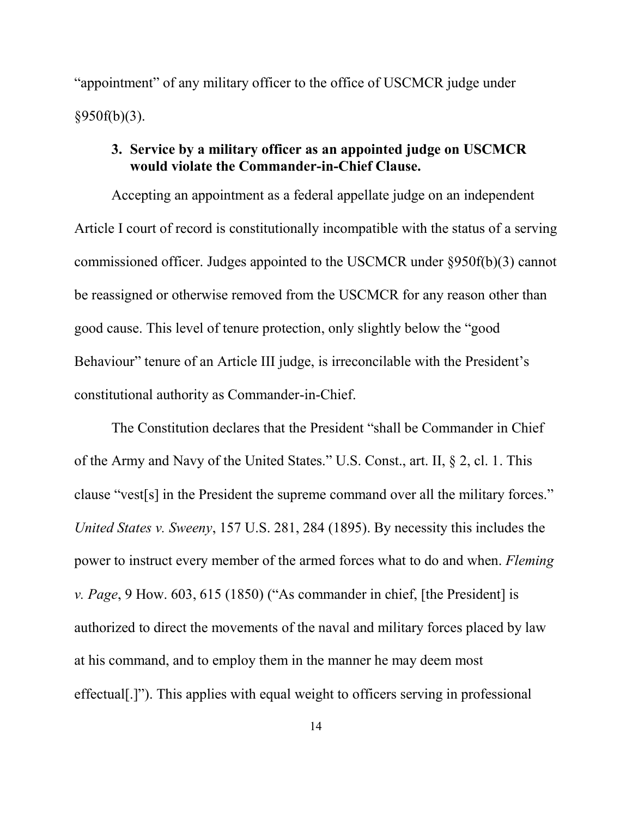"appointment" of any military officer to the office of USCMCR judge under  $§950f(b)(3)$ .

#### **3. Service by a military officer as an appointed judge on USCMCR would violate the Commander-in-Chief Clause.**

Accepting an appointment as a federal appellate judge on an independent Article I court of record is constitutionally incompatible with the status of a serving commissioned officer. Judges appointed to the USCMCR under §950f(b)(3) cannot be reassigned or otherwise removed from the USCMCR for any reason other than good cause. This level of tenure protection, only slightly below the "good Behaviour" tenure of an Article III judge, is irreconcilable with the President's constitutional authority as Commander-in-Chief.

The Constitution declares that the President "shall be Commander in Chief of the Army and Navy of the United States." U.S. Const., art. II, § 2, cl. 1. This clause "vest[s] in the President the supreme command over all the military forces." *United States v. Sweeny*, 157 U.S. 281, 284 (1895). By necessity this includes the power to instruct every member of the armed forces what to do and when. *Fleming v. Page*, 9 How. 603, 615 (1850) ("As commander in chief, [the President] is authorized to direct the movements of the naval and military forces placed by law at his command, and to employ them in the manner he may deem most effectual[.]"). This applies with equal weight to officers serving in professional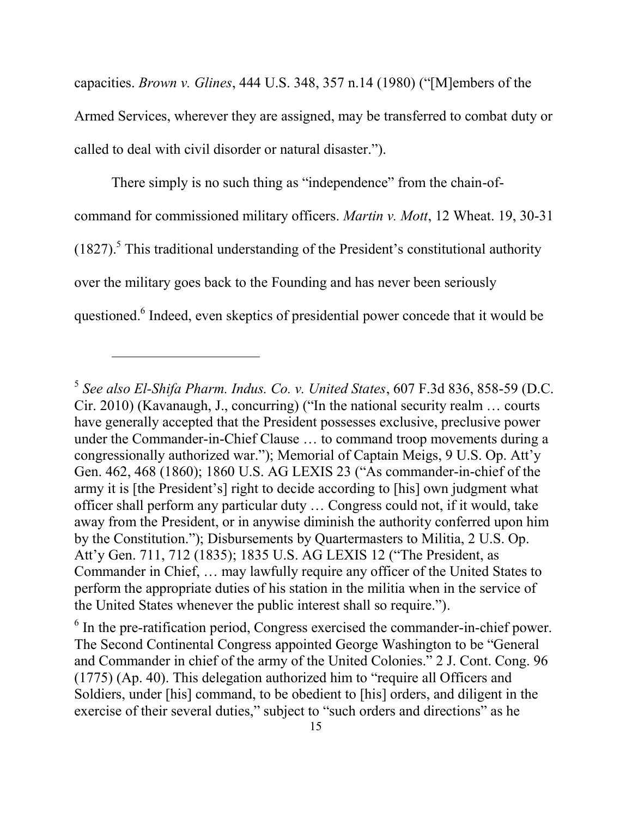capacities. *Brown v. Glines*, 444 U.S. 348, 357 n.14 (1980) ("[M]embers of the Armed Services, wherever they are assigned, may be transferred to combat duty or called to deal with civil disorder or natural disaster.").

There simply is no such thing as "independence" from the chain-ofcommand for commissioned military officers. *Martin v. Mott*, 12 Wheat. 19, 30-31  $(1827)$ .<sup>5</sup> This traditional understanding of the President's constitutional authority over the military goes back to the Founding and has never been seriously questioned.<sup>6</sup> Indeed, even skeptics of presidential power concede that it would be

<sup>5</sup> *See also El-Shifa Pharm. Indus. Co. v. United States*, 607 F.3d 836, 858-59 (D.C. Cir. 2010) (Kavanaugh, J., concurring) ("In the national security realm … courts have generally accepted that the President possesses exclusive, preclusive power under the Commander-in-Chief Clause … to command troop movements during a congressionally authorized war."); Memorial of Captain Meigs, 9 U.S. Op. Att'y Gen. 462, 468 (1860); 1860 U.S. AG LEXIS 23 ("As commander-in-chief of the army it is [the President's] right to decide according to [his] own judgment what officer shall perform any particular duty … Congress could not, if it would, take away from the President, or in anywise diminish the authority conferred upon him by the Constitution."); Disbursements by Quartermasters to Militia, 2 U.S. Op. Att'y Gen. 711, 712 (1835); 1835 U.S. AG LEXIS 12 ("The President, as Commander in Chief, … may lawfully require any officer of the United States to perform the appropriate duties of his station in the militia when in the service of the United States whenever the public interest shall so require.").

<sup>&</sup>lt;sup>6</sup> In the pre-ratification period, Congress exercised the commander-in-chief power. The Second Continental Congress appointed George Washington to be "General and Commander in chief of the army of the United Colonies." 2 J. Cont. Cong. 96 (1775) (Ap. 40). This delegation authorized him to "require all Officers and Soldiers, under [his] command, to be obedient to [his] orders, and diligent in the exercise of their several duties," subject to "such orders and directions" as he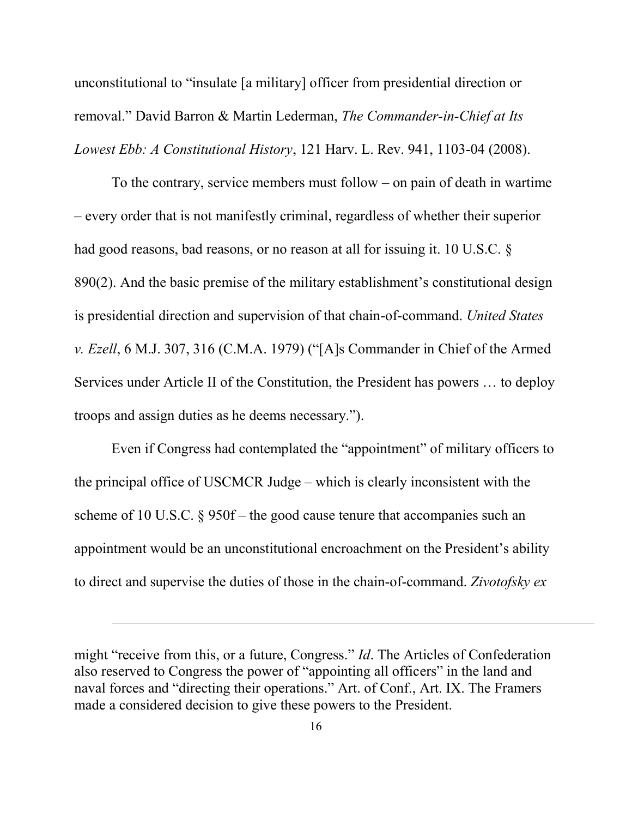unconstitutional to "insulate [a military] officer from presidential direction or removal." David Barron & Martin Lederman, *The Commander-in-Chief at Its Lowest Ebb: A Constitutional History*, 121 Harv. L. Rev. 941, 1103-04 (2008).

To the contrary, service members must follow – on pain of death in wartime – every order that is not manifestly criminal, regardless of whether their superior had good reasons, bad reasons, or no reason at all for issuing it. 10 U.S.C. § 890(2). And the basic premise of the military establishment's constitutional design is presidential direction and supervision of that chain-of-command. *United States v. Ezell*, 6 M.J. 307, 316 (C.M.A. 1979) ("[A]s Commander in Chief of the Armed Services under Article II of the Constitution, the President has powers … to deploy troops and assign duties as he deems necessary.").

Even if Congress had contemplated the "appointment" of military officers to the principal office of USCMCR Judge – which is clearly inconsistent with the scheme of 10 U.S.C. § 950f – the good cause tenure that accompanies such an appointment would be an unconstitutional encroachment on the President's ability to direct and supervise the duties of those in the chain-of-command. *Zivotofsky ex* 

might "receive from this, or a future, Congress." *Id*. The Articles of Confederation also reserved to Congress the power of "appointing all officers" in the land and naval forces and "directing their operations." Art. of Conf., Art. IX. The Framers made a considered decision to give these powers to the President.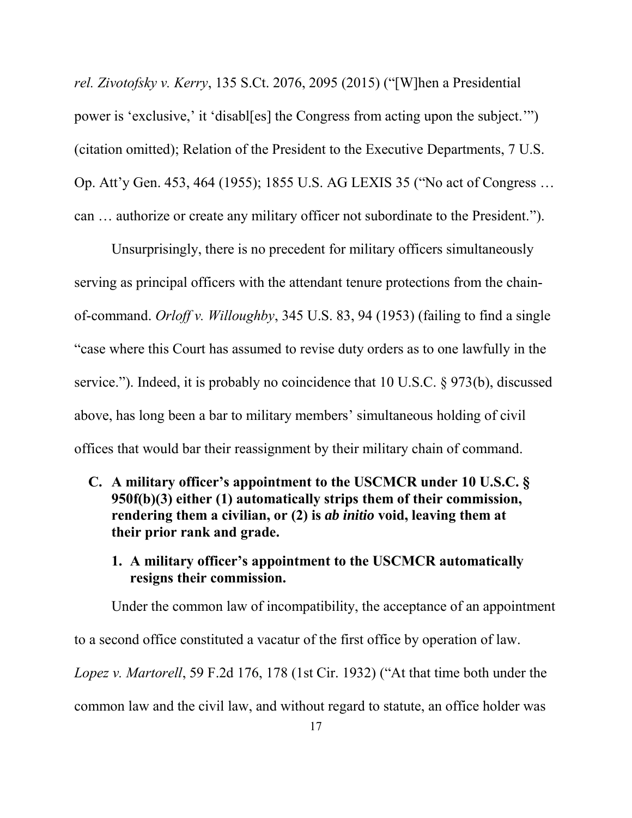*rel. Zivotofsky v. Kerry*, 135 S.Ct. 2076, 2095 (2015) ("[W]hen a Presidential power is 'exclusive,' it 'disabl[es] the Congress from acting upon the subject.'") (citation omitted); Relation of the President to the Executive Departments, 7 U.S. Op. Att'y Gen. 453, 464 (1955); 1855 U.S. AG LEXIS 35 ("No act of Congress … can … authorize or create any military officer not subordinate to the President.").

Unsurprisingly, there is no precedent for military officers simultaneously serving as principal officers with the attendant tenure protections from the chainof-command. *Orloff v. Willoughby*, 345 U.S. 83, 94 (1953) (failing to find a single "case where this Court has assumed to revise duty orders as to one lawfully in the service."). Indeed, it is probably no coincidence that 10 U.S.C. § 973(b), discussed above, has long been a bar to military members' simultaneous holding of civil offices that would bar their reassignment by their military chain of command.

- **C. A military officer's appointment to the USCMCR under 10 U.S.C. § 950f(b)(3) either (1) automatically strips them of their commission, rendering them a civilian, or (2) is** *ab initio* **void, leaving them at their prior rank and grade.** 
	- **1. A military officer's appointment to the USCMCR automatically resigns their commission.**

Under the common law of incompatibility, the acceptance of an appointment

to a second office constituted a vacatur of the first office by operation of law.

*Lopez v. Martorell*, 59 F.2d 176, 178 (1st Cir. 1932) ("At that time both under the

common law and the civil law, and without regard to statute, an office holder was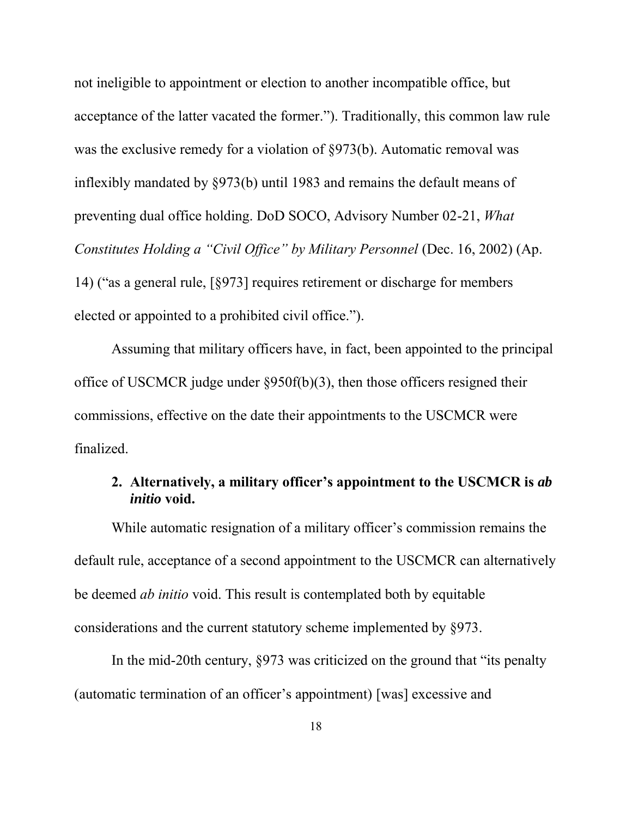not ineligible to appointment or election to another incompatible office, but acceptance of the latter vacated the former."). Traditionally, this common law rule was the exclusive remedy for a violation of §973(b). Automatic removal was inflexibly mandated by §973(b) until 1983 and remains the default means of preventing dual office holding. DoD SOCO, Advisory Number 02-21, *What Constitutes Holding a "Civil Office" by Military Personnel* (Dec. 16, 2002) (Ap. 14) ("as a general rule, [§973] requires retirement or discharge for members elected or appointed to a prohibited civil office.").

Assuming that military officers have, in fact, been appointed to the principal office of USCMCR judge under §950f(b)(3), then those officers resigned their commissions, effective on the date their appointments to the USCMCR were finalized.

#### **2. Alternatively, a military officer's appointment to the USCMCR is** *ab initio* **void.**

While automatic resignation of a military officer's commission remains the default rule, acceptance of a second appointment to the USCMCR can alternatively be deemed *ab initio* void. This result is contemplated both by equitable considerations and the current statutory scheme implemented by §973.

In the mid-20th century, §973 was criticized on the ground that "its penalty (automatic termination of an officer's appointment) [was] excessive and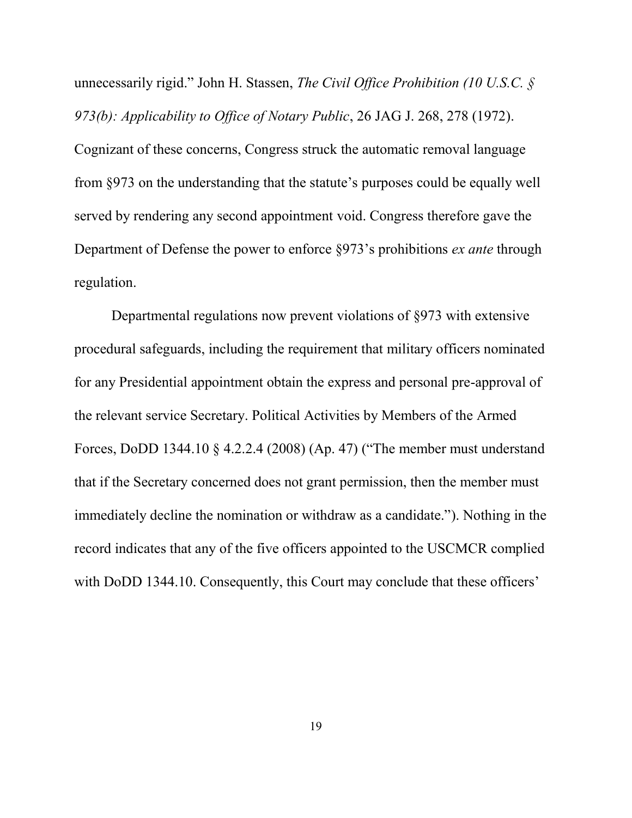unnecessarily rigid." John H. Stassen, *The Civil Office Prohibition (10 U.S.C. § 973(b): Applicability to Office of Notary Public*, 26 JAG J. 268, 278 (1972). Cognizant of these concerns, Congress struck the automatic removal language from §973 on the understanding that the statute's purposes could be equally well served by rendering any second appointment void. Congress therefore gave the Department of Defense the power to enforce §973's prohibitions *ex ante* through regulation.

Departmental regulations now prevent violations of §973 with extensive procedural safeguards, including the requirement that military officers nominated for any Presidential appointment obtain the express and personal pre-approval of the relevant service Secretary. Political Activities by Members of the Armed Forces, DoDD 1344.10 § 4.2.2.4 (2008) (Ap. 47) ("The member must understand that if the Secretary concerned does not grant permission, then the member must immediately decline the nomination or withdraw as a candidate."). Nothing in the record indicates that any of the five officers appointed to the USCMCR complied with DoDD 1344.10. Consequently, this Court may conclude that these officers'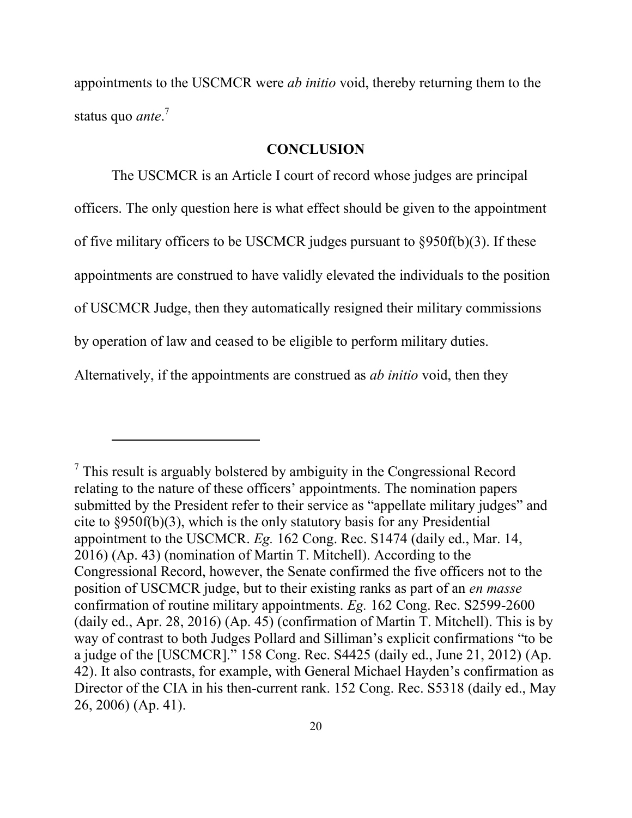appointments to the USCMCR were *ab initio* void, thereby returning them to the status quo *ante*. 7

#### **CONCLUSION**

The USCMCR is an Article I court of record whose judges are principal officers. The only question here is what effect should be given to the appointment of five military officers to be USCMCR judges pursuant to §950f(b)(3). If these appointments are construed to have validly elevated the individuals to the position of USCMCR Judge, then they automatically resigned their military commissions by operation of law and ceased to be eligible to perform military duties. Alternatively, if the appointments are construed as *ab initio* void, then they

 $7$  This result is arguably bolstered by ambiguity in the Congressional Record relating to the nature of these officers' appointments. The nomination papers submitted by the President refer to their service as "appellate military judges" and cite to §950f(b)(3), which is the only statutory basis for any Presidential appointment to the USCMCR. *Eg.* 162 Cong. Rec. S1474 (daily ed., Mar. 14, 2016) (Ap. 43) (nomination of Martin T. Mitchell). According to the Congressional Record, however, the Senate confirmed the five officers not to the position of USCMCR judge, but to their existing ranks as part of an *en masse* confirmation of routine military appointments. *Eg.* 162 Cong. Rec. S2599-2600 (daily ed., Apr. 28, 2016) (Ap. 45) (confirmation of Martin T. Mitchell). This is by way of contrast to both Judges Pollard and Silliman's explicit confirmations "to be a judge of the [USCMCR]." 158 Cong. Rec. S4425 (daily ed., June 21, 2012) (Ap. 42). It also contrasts, for example, with General Michael Hayden's confirmation as Director of the CIA in his then-current rank. 152 Cong. Rec. S5318 (daily ed., May 26, 2006) (Ap. 41).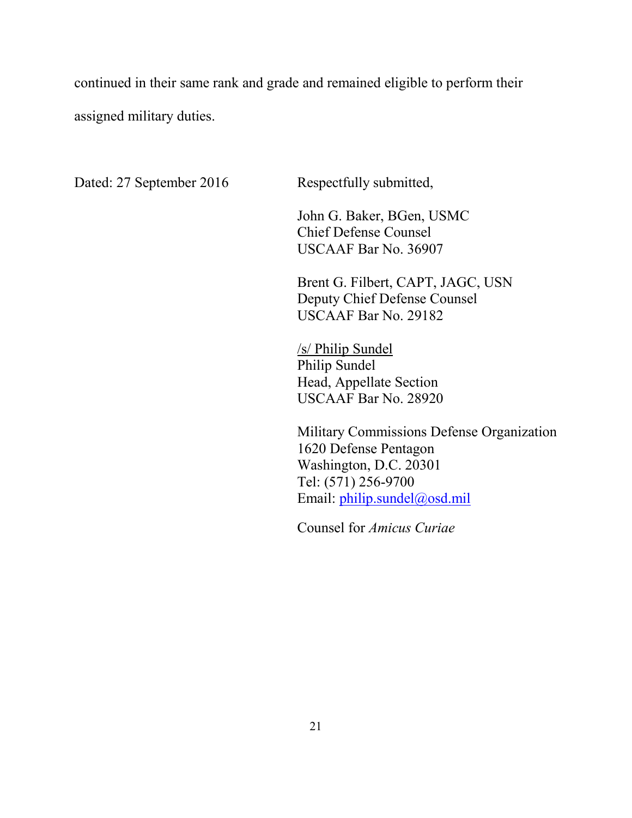continued in their same rank and grade and remained eligible to perform their assigned military duties.

Dated: 27 September 2016 Respectfully submitted,

 John G. Baker, BGen, USMC Chief Defense Counsel USCAAF Bar No. 36907

Brent G. Filbert, CAPT, JAGC, USN Deputy Chief Defense Counsel USCAAF Bar No. 29182

/s/ Philip Sundel Philip Sundel Head, Appellate Section USCAAF Bar No. 28920

Military Commissions Defense Organization 1620 Defense Pentagon Washington, D.C. 20301 Tel: (571) 256-9700 Email: philip.sundel@osd.mil

Counsel for *Amicus Curiae*